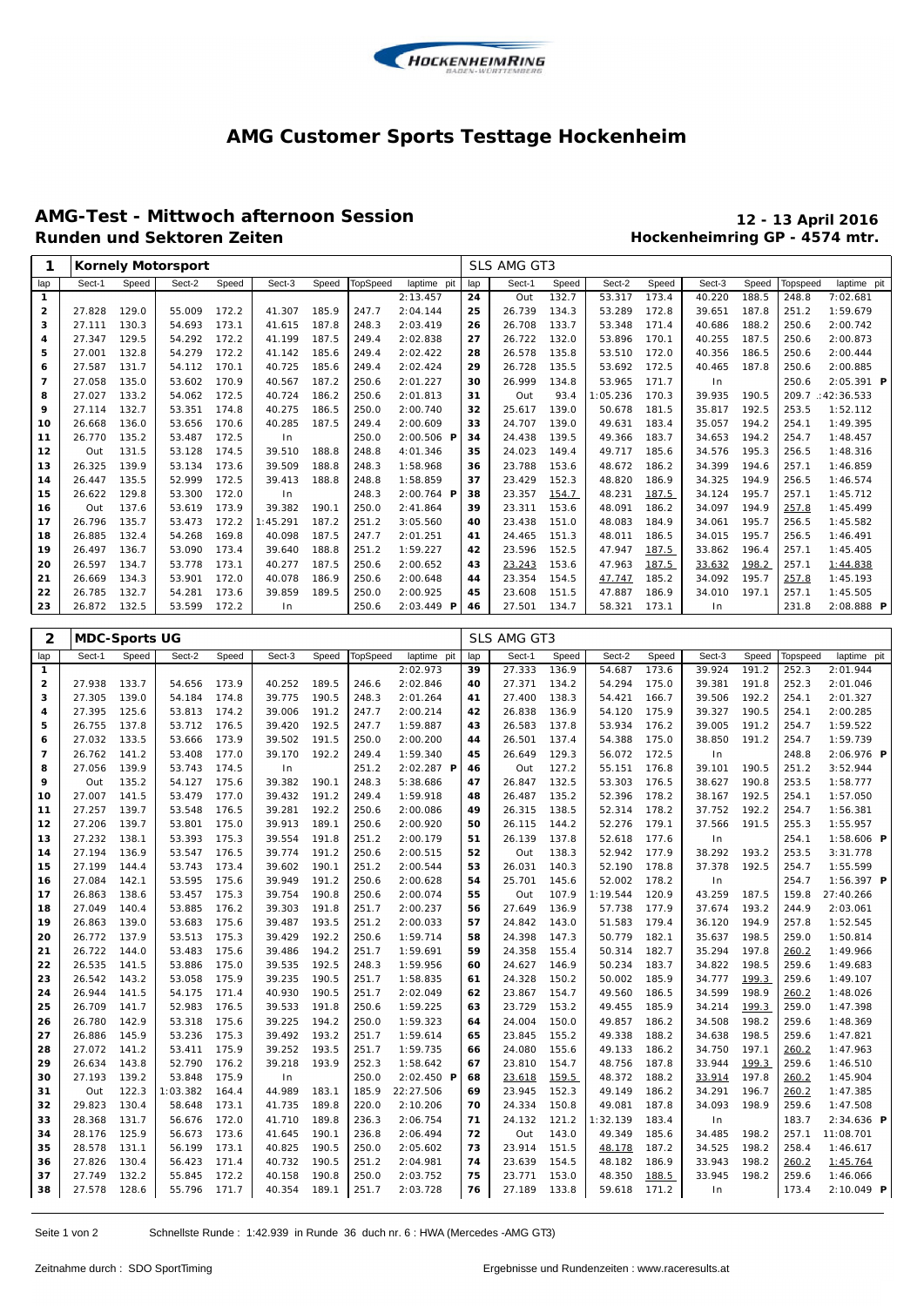

#### **AMG Customer Sports Testtage Hockenheim**

# **AMG-Test - Mittwoch afternoon Session 12 - 13 April 2016**

## **Hockenheimring GP - 4574 mtr.**

| Sect-2<br>Sect-1<br>lap<br>Sect-1<br>Speed<br>Speed<br>Sect-3<br>Speed<br>TopSpeed<br>laptime pit<br>lap<br>Speed<br>Sect-2<br>Speed<br>Sect-3<br>Speed<br>Topspeed<br>2: 13.457<br>24<br>Out<br>132.7<br>53.317<br>173.4<br>40.220<br>188.5<br>248.8<br>$\mathbf{1}$<br>129.0<br>172.2<br>247.7<br>2:04.144<br>25<br>26.739<br>134.3<br>53.289<br>172.8<br>39.651<br>187.8<br>251.2<br>2<br>27.828<br>55.009<br>41.307<br>185.9<br>130.3<br>173.1<br>248.3<br>2:03.419<br>26<br>26.708<br>133.7<br>53.348<br>171.4<br>40.686<br>188.2<br>250.6<br>з<br>27.111<br>54.693<br>41.615<br>187.8<br>27.347<br>129.5<br>172.2<br>41.199<br>187.5<br>249.4<br>2:02.838<br>27<br>26.722<br>132.0<br>53.896<br>170.1<br>40.255<br>187.5<br>250.6<br>4<br>54.292<br>5<br>27.001<br>132.8<br>54.279<br>172.2<br>41.142<br>185.6<br>249.4<br>2:02.422<br>28<br>26.578<br>135.8<br>53.510<br>172.0<br>40.356<br>186.5<br>250.6<br>27.587<br>131.7<br>54.112<br>170.1<br>40.725<br>185.6<br>249.4<br>2:02.424<br>29<br>26.728<br>135.5<br>53.692<br>172.5<br>40.465<br>187.8<br>250.6<br>6<br>$\overline{7}$<br>27.058<br>135.0<br>53.602<br>170.9<br>40.567<br>187.2<br>250.6<br>2:01.227<br>30<br>26.999<br>134.8<br>53.965<br>171.7<br>250.6<br>In<br>27.027<br>133.2<br>172.5<br>40.724<br>186.2<br>2:01.813<br>31<br>93.4<br>1:05.236<br>39.935<br>190.5<br>209.7<br>8<br>54.062<br>250.6<br>Out<br>170.3<br>9<br>27.114<br>132.7<br>53.351<br>174.8<br>40.275<br>186.5<br>250.0<br>2:00.740<br>32<br>139.0<br>50.678<br>181.5<br>35.817<br>192.5<br>253.5<br>25.617<br>136.0<br>40.285<br>187.5<br>249.4<br>2:00.609<br>33<br>24.707<br>139.0<br>49.631<br>35.057<br>194.2<br>254.1<br>10<br>26.668<br>53.656<br>170.6<br>183.4<br>26.770<br>135.2<br>53.487<br>172.5<br>250.0<br>$2:00.506$ P<br>34<br>24.438<br>139.5<br>183.7<br>194.2<br>254.7<br>In<br>49.366<br>34.653<br>11<br>131.5<br>39.510<br>188.8<br>248.8<br>4:01.346<br>35<br>24.023<br>149.4<br>185.6<br>34.576<br>195.3<br>256.5<br>12<br>Out<br>53.128<br>174.5<br>49.717<br>26.325<br>139.9<br>173.6<br>39.509<br>188.8<br>248.3<br>1:58.968<br>36<br>23.788<br>153.6<br>48.672<br>34.399<br>194.6<br>257.1<br>13<br>53.134<br>186.2<br>135.5<br>52.999<br>172.5<br>188.8<br>248.8<br>1:58.859<br>37<br>23.429<br>152.3<br>48.820<br>186.9<br>34.325<br>194.9<br>256.5<br>26.447<br>39.413<br>14<br>129.8<br>53.300<br>172.0<br>248.3<br>$2:00.764$ P<br>38<br>23.357<br>48.231<br>34.124<br>195.7<br>257.1<br>15<br>26.622<br>In<br>154.7<br>187.5<br>137.6<br>173.9<br>39.382<br>250.0<br>2: 41.864<br>23.311<br>153.6<br>48.091<br>186.2<br>34.097<br>194.9<br>257.8<br>Out<br>53.619<br>190.1<br>39<br>16<br>26.796<br>135.7<br>172.2<br>1:45.291<br>187.2<br>251.2<br>3:05.560<br>23.438<br>151.0<br>48.083<br>184.9<br>34.061<br>195.7<br>256.5<br>17<br>53.473<br>40<br>132.4<br>54.268<br>169.8<br>40.098<br>187.5<br>247.7<br>2:01.251<br>48.011<br>186.5<br>34.015<br>195.7<br>256.5<br>18<br>26.885<br>41<br>24.465<br>151.3<br>136.7<br>53.090<br>173.4<br>188.8<br>251.2<br>1:59.227<br>23.596<br>152.5<br>47.947<br>187.5<br>33.862<br>196.4<br>257.1<br>19<br>26.497<br>39.640<br>42<br>134.7<br>53.778<br>173.1<br>40.277<br>187.5<br>2:00.652<br>47.963<br>187.5<br>198.2<br>257.1<br>20<br>26.597<br>250.6<br>43<br>23.243<br>153.6<br>33.632<br>134.3<br>53.901<br>172.0<br>40.078<br>186.9<br>250.6<br>2:00.648<br>23.354<br>154.5<br>47.747<br>185.2<br>34.092<br>195.7<br>257.8<br>21<br>26.669<br>44<br>26.785<br>132.7<br>54.281<br>173.6<br>39.859<br>189.5<br>250.0<br>2:00.925<br>45<br>23.608<br>151.5<br>47.887<br>186.9<br>34.010<br>197.1<br>257.1<br>22<br>26.872<br>132.5<br>53.599<br>172.2<br>250.6<br>$2:03.449$ <b>P</b><br>27.501<br>134.7<br>58.321<br>173.1<br>231.8<br>23<br>In<br>46<br>ln<br>2<br><b>MDC-Sports UG</b><br>SLS AMG GT3<br>Sect-2<br>Speed<br><b>TopSpeed</b><br>Sect-1<br>Speed<br>Sect-2<br>Speed<br>Sect-3<br>Speed<br>Sect-1<br>Speed<br>Sect-3<br>Speed<br>laptime pit<br>Topspeed<br>lap<br>lap<br>2:02.973<br>173.6<br>191.2<br>1<br>39<br>27.333<br>136.9<br>54.687<br>39.924<br>252.3<br>$\mathbf{2}$<br>27.938<br>133.7<br>173.9<br>40.252<br>189.5<br>2:02.846<br>27.371<br>134.2<br>54.294<br>175.0<br>39.381<br>191.8<br>252.3<br>54.656<br>246.6<br>40<br>27.305<br>139.0<br>174.8<br>39.775<br>190.5<br>248.3<br>2:01.264<br>41<br>27.400<br>138.3<br>54.421<br>39.506<br>192.2<br>254.1<br>з<br>54.184<br>166.7<br>27.395<br>125.6<br>174.2<br>39.006<br>191.2<br>247.7<br>2:00.214<br>26.838<br>136.9<br>54.120<br>39.327<br>190.5<br>254.1<br>4<br>53.813<br>42<br>175.9<br>5<br>26.755<br>137.8<br>53.712<br>176.5<br>39.420<br>192.5<br>247.7<br>1:59.887<br>43<br>26.583<br>137.8<br>53.934<br>39.005<br>191.2<br>254.7<br>176.2<br>27.032<br>133.5<br>173.9<br>39.502<br>191.5<br>250.0<br>2:00.200<br>26.501<br>137.4<br>54.388<br>175.0<br>38.850<br>191.2<br>254.7<br>53.666<br>44<br>6 | laptime pit           |
|--------------------------------------------------------------------------------------------------------------------------------------------------------------------------------------------------------------------------------------------------------------------------------------------------------------------------------------------------------------------------------------------------------------------------------------------------------------------------------------------------------------------------------------------------------------------------------------------------------------------------------------------------------------------------------------------------------------------------------------------------------------------------------------------------------------------------------------------------------------------------------------------------------------------------------------------------------------------------------------------------------------------------------------------------------------------------------------------------------------------------------------------------------------------------------------------------------------------------------------------------------------------------------------------------------------------------------------------------------------------------------------------------------------------------------------------------------------------------------------------------------------------------------------------------------------------------------------------------------------------------------------------------------------------------------------------------------------------------------------------------------------------------------------------------------------------------------------------------------------------------------------------------------------------------------------------------------------------------------------------------------------------------------------------------------------------------------------------------------------------------------------------------------------------------------------------------------------------------------------------------------------------------------------------------------------------------------------------------------------------------------------------------------------------------------------------------------------------------------------------------------------------------------------------------------------------------------------------------------------------------------------------------------------------------------------------------------------------------------------------------------------------------------------------------------------------------------------------------------------------------------------------------------------------------------------------------------------------------------------------------------------------------------------------------------------------------------------------------------------------------------------------------------------------------------------------------------------------------------------------------------------------------------------------------------------------------------------------------------------------------------------------------------------------------------------------------------------------------------------------------------------------------------------------------------------------------------------------------------------------------------------------------------------------------------------------------------------------------------------------------------------------------------------------------------------------------------------------------------------------------------------------------------------------------------------------------------------------------------------------------------------------------------------------------------------------------------------------------------------------------------------------------------------------------------------------------------------------------------------------------------------------------------------------------------------------------------------------------------------------------------------------------------------------------------------------------------------------------------------------------------------------------------------------------------------------------------------------------------------------------------------------------------------------------------------------------------------------------------------------------------------------------------------------------------------------------------------------------------------------------------------------------------------------------------------|-----------------------|
|                                                                                                                                                                                                                                                                                                                                                                                                                                                                                                                                                                                                                                                                                                                                                                                                                                                                                                                                                                                                                                                                                                                                                                                                                                                                                                                                                                                                                                                                                                                                                                                                                                                                                                                                                                                                                                                                                                                                                                                                                                                                                                                                                                                                                                                                                                                                                                                                                                                                                                                                                                                                                                                                                                                                                                                                                                                                                                                                                                                                                                                                                                                                                                                                                                                                                                                                                                                                                                                                                                                                                                                                                                                                                                                                                                                                                                                                                                                                                                                                                                                                                                                                                                                                                                                                                                                                                                                                                                                                                                                                                                                                                                                                                                                                                                                                                                                                                                                                      |                       |
|                                                                                                                                                                                                                                                                                                                                                                                                                                                                                                                                                                                                                                                                                                                                                                                                                                                                                                                                                                                                                                                                                                                                                                                                                                                                                                                                                                                                                                                                                                                                                                                                                                                                                                                                                                                                                                                                                                                                                                                                                                                                                                                                                                                                                                                                                                                                                                                                                                                                                                                                                                                                                                                                                                                                                                                                                                                                                                                                                                                                                                                                                                                                                                                                                                                                                                                                                                                                                                                                                                                                                                                                                                                                                                                                                                                                                                                                                                                                                                                                                                                                                                                                                                                                                                                                                                                                                                                                                                                                                                                                                                                                                                                                                                                                                                                                                                                                                                                                      | 7:02.681              |
|                                                                                                                                                                                                                                                                                                                                                                                                                                                                                                                                                                                                                                                                                                                                                                                                                                                                                                                                                                                                                                                                                                                                                                                                                                                                                                                                                                                                                                                                                                                                                                                                                                                                                                                                                                                                                                                                                                                                                                                                                                                                                                                                                                                                                                                                                                                                                                                                                                                                                                                                                                                                                                                                                                                                                                                                                                                                                                                                                                                                                                                                                                                                                                                                                                                                                                                                                                                                                                                                                                                                                                                                                                                                                                                                                                                                                                                                                                                                                                                                                                                                                                                                                                                                                                                                                                                                                                                                                                                                                                                                                                                                                                                                                                                                                                                                                                                                                                                                      | 1:59.679              |
|                                                                                                                                                                                                                                                                                                                                                                                                                                                                                                                                                                                                                                                                                                                                                                                                                                                                                                                                                                                                                                                                                                                                                                                                                                                                                                                                                                                                                                                                                                                                                                                                                                                                                                                                                                                                                                                                                                                                                                                                                                                                                                                                                                                                                                                                                                                                                                                                                                                                                                                                                                                                                                                                                                                                                                                                                                                                                                                                                                                                                                                                                                                                                                                                                                                                                                                                                                                                                                                                                                                                                                                                                                                                                                                                                                                                                                                                                                                                                                                                                                                                                                                                                                                                                                                                                                                                                                                                                                                                                                                                                                                                                                                                                                                                                                                                                                                                                                                                      | 2:00.742              |
|                                                                                                                                                                                                                                                                                                                                                                                                                                                                                                                                                                                                                                                                                                                                                                                                                                                                                                                                                                                                                                                                                                                                                                                                                                                                                                                                                                                                                                                                                                                                                                                                                                                                                                                                                                                                                                                                                                                                                                                                                                                                                                                                                                                                                                                                                                                                                                                                                                                                                                                                                                                                                                                                                                                                                                                                                                                                                                                                                                                                                                                                                                                                                                                                                                                                                                                                                                                                                                                                                                                                                                                                                                                                                                                                                                                                                                                                                                                                                                                                                                                                                                                                                                                                                                                                                                                                                                                                                                                                                                                                                                                                                                                                                                                                                                                                                                                                                                                                      | 2:00.873              |
|                                                                                                                                                                                                                                                                                                                                                                                                                                                                                                                                                                                                                                                                                                                                                                                                                                                                                                                                                                                                                                                                                                                                                                                                                                                                                                                                                                                                                                                                                                                                                                                                                                                                                                                                                                                                                                                                                                                                                                                                                                                                                                                                                                                                                                                                                                                                                                                                                                                                                                                                                                                                                                                                                                                                                                                                                                                                                                                                                                                                                                                                                                                                                                                                                                                                                                                                                                                                                                                                                                                                                                                                                                                                                                                                                                                                                                                                                                                                                                                                                                                                                                                                                                                                                                                                                                                                                                                                                                                                                                                                                                                                                                                                                                                                                                                                                                                                                                                                      | 2:00.444<br>2:00.885  |
|                                                                                                                                                                                                                                                                                                                                                                                                                                                                                                                                                                                                                                                                                                                                                                                                                                                                                                                                                                                                                                                                                                                                                                                                                                                                                                                                                                                                                                                                                                                                                                                                                                                                                                                                                                                                                                                                                                                                                                                                                                                                                                                                                                                                                                                                                                                                                                                                                                                                                                                                                                                                                                                                                                                                                                                                                                                                                                                                                                                                                                                                                                                                                                                                                                                                                                                                                                                                                                                                                                                                                                                                                                                                                                                                                                                                                                                                                                                                                                                                                                                                                                                                                                                                                                                                                                                                                                                                                                                                                                                                                                                                                                                                                                                                                                                                                                                                                                                                      | $2:05.391$ <b>P</b>   |
|                                                                                                                                                                                                                                                                                                                                                                                                                                                                                                                                                                                                                                                                                                                                                                                                                                                                                                                                                                                                                                                                                                                                                                                                                                                                                                                                                                                                                                                                                                                                                                                                                                                                                                                                                                                                                                                                                                                                                                                                                                                                                                                                                                                                                                                                                                                                                                                                                                                                                                                                                                                                                                                                                                                                                                                                                                                                                                                                                                                                                                                                                                                                                                                                                                                                                                                                                                                                                                                                                                                                                                                                                                                                                                                                                                                                                                                                                                                                                                                                                                                                                                                                                                                                                                                                                                                                                                                                                                                                                                                                                                                                                                                                                                                                                                                                                                                                                                                                      | : 42: 36.533          |
|                                                                                                                                                                                                                                                                                                                                                                                                                                                                                                                                                                                                                                                                                                                                                                                                                                                                                                                                                                                                                                                                                                                                                                                                                                                                                                                                                                                                                                                                                                                                                                                                                                                                                                                                                                                                                                                                                                                                                                                                                                                                                                                                                                                                                                                                                                                                                                                                                                                                                                                                                                                                                                                                                                                                                                                                                                                                                                                                                                                                                                                                                                                                                                                                                                                                                                                                                                                                                                                                                                                                                                                                                                                                                                                                                                                                                                                                                                                                                                                                                                                                                                                                                                                                                                                                                                                                                                                                                                                                                                                                                                                                                                                                                                                                                                                                                                                                                                                                      | 1:52.112              |
|                                                                                                                                                                                                                                                                                                                                                                                                                                                                                                                                                                                                                                                                                                                                                                                                                                                                                                                                                                                                                                                                                                                                                                                                                                                                                                                                                                                                                                                                                                                                                                                                                                                                                                                                                                                                                                                                                                                                                                                                                                                                                                                                                                                                                                                                                                                                                                                                                                                                                                                                                                                                                                                                                                                                                                                                                                                                                                                                                                                                                                                                                                                                                                                                                                                                                                                                                                                                                                                                                                                                                                                                                                                                                                                                                                                                                                                                                                                                                                                                                                                                                                                                                                                                                                                                                                                                                                                                                                                                                                                                                                                                                                                                                                                                                                                                                                                                                                                                      | 1:49.395              |
|                                                                                                                                                                                                                                                                                                                                                                                                                                                                                                                                                                                                                                                                                                                                                                                                                                                                                                                                                                                                                                                                                                                                                                                                                                                                                                                                                                                                                                                                                                                                                                                                                                                                                                                                                                                                                                                                                                                                                                                                                                                                                                                                                                                                                                                                                                                                                                                                                                                                                                                                                                                                                                                                                                                                                                                                                                                                                                                                                                                                                                                                                                                                                                                                                                                                                                                                                                                                                                                                                                                                                                                                                                                                                                                                                                                                                                                                                                                                                                                                                                                                                                                                                                                                                                                                                                                                                                                                                                                                                                                                                                                                                                                                                                                                                                                                                                                                                                                                      | 1:48.457              |
|                                                                                                                                                                                                                                                                                                                                                                                                                                                                                                                                                                                                                                                                                                                                                                                                                                                                                                                                                                                                                                                                                                                                                                                                                                                                                                                                                                                                                                                                                                                                                                                                                                                                                                                                                                                                                                                                                                                                                                                                                                                                                                                                                                                                                                                                                                                                                                                                                                                                                                                                                                                                                                                                                                                                                                                                                                                                                                                                                                                                                                                                                                                                                                                                                                                                                                                                                                                                                                                                                                                                                                                                                                                                                                                                                                                                                                                                                                                                                                                                                                                                                                                                                                                                                                                                                                                                                                                                                                                                                                                                                                                                                                                                                                                                                                                                                                                                                                                                      | 1:48.316              |
|                                                                                                                                                                                                                                                                                                                                                                                                                                                                                                                                                                                                                                                                                                                                                                                                                                                                                                                                                                                                                                                                                                                                                                                                                                                                                                                                                                                                                                                                                                                                                                                                                                                                                                                                                                                                                                                                                                                                                                                                                                                                                                                                                                                                                                                                                                                                                                                                                                                                                                                                                                                                                                                                                                                                                                                                                                                                                                                                                                                                                                                                                                                                                                                                                                                                                                                                                                                                                                                                                                                                                                                                                                                                                                                                                                                                                                                                                                                                                                                                                                                                                                                                                                                                                                                                                                                                                                                                                                                                                                                                                                                                                                                                                                                                                                                                                                                                                                                                      | 1:46.859              |
|                                                                                                                                                                                                                                                                                                                                                                                                                                                                                                                                                                                                                                                                                                                                                                                                                                                                                                                                                                                                                                                                                                                                                                                                                                                                                                                                                                                                                                                                                                                                                                                                                                                                                                                                                                                                                                                                                                                                                                                                                                                                                                                                                                                                                                                                                                                                                                                                                                                                                                                                                                                                                                                                                                                                                                                                                                                                                                                                                                                                                                                                                                                                                                                                                                                                                                                                                                                                                                                                                                                                                                                                                                                                                                                                                                                                                                                                                                                                                                                                                                                                                                                                                                                                                                                                                                                                                                                                                                                                                                                                                                                                                                                                                                                                                                                                                                                                                                                                      | 1:46.574              |
|                                                                                                                                                                                                                                                                                                                                                                                                                                                                                                                                                                                                                                                                                                                                                                                                                                                                                                                                                                                                                                                                                                                                                                                                                                                                                                                                                                                                                                                                                                                                                                                                                                                                                                                                                                                                                                                                                                                                                                                                                                                                                                                                                                                                                                                                                                                                                                                                                                                                                                                                                                                                                                                                                                                                                                                                                                                                                                                                                                                                                                                                                                                                                                                                                                                                                                                                                                                                                                                                                                                                                                                                                                                                                                                                                                                                                                                                                                                                                                                                                                                                                                                                                                                                                                                                                                                                                                                                                                                                                                                                                                                                                                                                                                                                                                                                                                                                                                                                      | 1:45.712              |
|                                                                                                                                                                                                                                                                                                                                                                                                                                                                                                                                                                                                                                                                                                                                                                                                                                                                                                                                                                                                                                                                                                                                                                                                                                                                                                                                                                                                                                                                                                                                                                                                                                                                                                                                                                                                                                                                                                                                                                                                                                                                                                                                                                                                                                                                                                                                                                                                                                                                                                                                                                                                                                                                                                                                                                                                                                                                                                                                                                                                                                                                                                                                                                                                                                                                                                                                                                                                                                                                                                                                                                                                                                                                                                                                                                                                                                                                                                                                                                                                                                                                                                                                                                                                                                                                                                                                                                                                                                                                                                                                                                                                                                                                                                                                                                                                                                                                                                                                      | 1:45.499              |
|                                                                                                                                                                                                                                                                                                                                                                                                                                                                                                                                                                                                                                                                                                                                                                                                                                                                                                                                                                                                                                                                                                                                                                                                                                                                                                                                                                                                                                                                                                                                                                                                                                                                                                                                                                                                                                                                                                                                                                                                                                                                                                                                                                                                                                                                                                                                                                                                                                                                                                                                                                                                                                                                                                                                                                                                                                                                                                                                                                                                                                                                                                                                                                                                                                                                                                                                                                                                                                                                                                                                                                                                                                                                                                                                                                                                                                                                                                                                                                                                                                                                                                                                                                                                                                                                                                                                                                                                                                                                                                                                                                                                                                                                                                                                                                                                                                                                                                                                      | 1:45.582              |
|                                                                                                                                                                                                                                                                                                                                                                                                                                                                                                                                                                                                                                                                                                                                                                                                                                                                                                                                                                                                                                                                                                                                                                                                                                                                                                                                                                                                                                                                                                                                                                                                                                                                                                                                                                                                                                                                                                                                                                                                                                                                                                                                                                                                                                                                                                                                                                                                                                                                                                                                                                                                                                                                                                                                                                                                                                                                                                                                                                                                                                                                                                                                                                                                                                                                                                                                                                                                                                                                                                                                                                                                                                                                                                                                                                                                                                                                                                                                                                                                                                                                                                                                                                                                                                                                                                                                                                                                                                                                                                                                                                                                                                                                                                                                                                                                                                                                                                                                      | 1:46.491              |
|                                                                                                                                                                                                                                                                                                                                                                                                                                                                                                                                                                                                                                                                                                                                                                                                                                                                                                                                                                                                                                                                                                                                                                                                                                                                                                                                                                                                                                                                                                                                                                                                                                                                                                                                                                                                                                                                                                                                                                                                                                                                                                                                                                                                                                                                                                                                                                                                                                                                                                                                                                                                                                                                                                                                                                                                                                                                                                                                                                                                                                                                                                                                                                                                                                                                                                                                                                                                                                                                                                                                                                                                                                                                                                                                                                                                                                                                                                                                                                                                                                                                                                                                                                                                                                                                                                                                                                                                                                                                                                                                                                                                                                                                                                                                                                                                                                                                                                                                      | 1:45.405              |
|                                                                                                                                                                                                                                                                                                                                                                                                                                                                                                                                                                                                                                                                                                                                                                                                                                                                                                                                                                                                                                                                                                                                                                                                                                                                                                                                                                                                                                                                                                                                                                                                                                                                                                                                                                                                                                                                                                                                                                                                                                                                                                                                                                                                                                                                                                                                                                                                                                                                                                                                                                                                                                                                                                                                                                                                                                                                                                                                                                                                                                                                                                                                                                                                                                                                                                                                                                                                                                                                                                                                                                                                                                                                                                                                                                                                                                                                                                                                                                                                                                                                                                                                                                                                                                                                                                                                                                                                                                                                                                                                                                                                                                                                                                                                                                                                                                                                                                                                      | 1:44.838<br>1:45.193  |
|                                                                                                                                                                                                                                                                                                                                                                                                                                                                                                                                                                                                                                                                                                                                                                                                                                                                                                                                                                                                                                                                                                                                                                                                                                                                                                                                                                                                                                                                                                                                                                                                                                                                                                                                                                                                                                                                                                                                                                                                                                                                                                                                                                                                                                                                                                                                                                                                                                                                                                                                                                                                                                                                                                                                                                                                                                                                                                                                                                                                                                                                                                                                                                                                                                                                                                                                                                                                                                                                                                                                                                                                                                                                                                                                                                                                                                                                                                                                                                                                                                                                                                                                                                                                                                                                                                                                                                                                                                                                                                                                                                                                                                                                                                                                                                                                                                                                                                                                      | 1:45.505              |
|                                                                                                                                                                                                                                                                                                                                                                                                                                                                                                                                                                                                                                                                                                                                                                                                                                                                                                                                                                                                                                                                                                                                                                                                                                                                                                                                                                                                                                                                                                                                                                                                                                                                                                                                                                                                                                                                                                                                                                                                                                                                                                                                                                                                                                                                                                                                                                                                                                                                                                                                                                                                                                                                                                                                                                                                                                                                                                                                                                                                                                                                                                                                                                                                                                                                                                                                                                                                                                                                                                                                                                                                                                                                                                                                                                                                                                                                                                                                                                                                                                                                                                                                                                                                                                                                                                                                                                                                                                                                                                                                                                                                                                                                                                                                                                                                                                                                                                                                      | $2:08.888$ P          |
|                                                                                                                                                                                                                                                                                                                                                                                                                                                                                                                                                                                                                                                                                                                                                                                                                                                                                                                                                                                                                                                                                                                                                                                                                                                                                                                                                                                                                                                                                                                                                                                                                                                                                                                                                                                                                                                                                                                                                                                                                                                                                                                                                                                                                                                                                                                                                                                                                                                                                                                                                                                                                                                                                                                                                                                                                                                                                                                                                                                                                                                                                                                                                                                                                                                                                                                                                                                                                                                                                                                                                                                                                                                                                                                                                                                                                                                                                                                                                                                                                                                                                                                                                                                                                                                                                                                                                                                                                                                                                                                                                                                                                                                                                                                                                                                                                                                                                                                                      |                       |
|                                                                                                                                                                                                                                                                                                                                                                                                                                                                                                                                                                                                                                                                                                                                                                                                                                                                                                                                                                                                                                                                                                                                                                                                                                                                                                                                                                                                                                                                                                                                                                                                                                                                                                                                                                                                                                                                                                                                                                                                                                                                                                                                                                                                                                                                                                                                                                                                                                                                                                                                                                                                                                                                                                                                                                                                                                                                                                                                                                                                                                                                                                                                                                                                                                                                                                                                                                                                                                                                                                                                                                                                                                                                                                                                                                                                                                                                                                                                                                                                                                                                                                                                                                                                                                                                                                                                                                                                                                                                                                                                                                                                                                                                                                                                                                                                                                                                                                                                      |                       |
|                                                                                                                                                                                                                                                                                                                                                                                                                                                                                                                                                                                                                                                                                                                                                                                                                                                                                                                                                                                                                                                                                                                                                                                                                                                                                                                                                                                                                                                                                                                                                                                                                                                                                                                                                                                                                                                                                                                                                                                                                                                                                                                                                                                                                                                                                                                                                                                                                                                                                                                                                                                                                                                                                                                                                                                                                                                                                                                                                                                                                                                                                                                                                                                                                                                                                                                                                                                                                                                                                                                                                                                                                                                                                                                                                                                                                                                                                                                                                                                                                                                                                                                                                                                                                                                                                                                                                                                                                                                                                                                                                                                                                                                                                                                                                                                                                                                                                                                                      | laptime pit           |
|                                                                                                                                                                                                                                                                                                                                                                                                                                                                                                                                                                                                                                                                                                                                                                                                                                                                                                                                                                                                                                                                                                                                                                                                                                                                                                                                                                                                                                                                                                                                                                                                                                                                                                                                                                                                                                                                                                                                                                                                                                                                                                                                                                                                                                                                                                                                                                                                                                                                                                                                                                                                                                                                                                                                                                                                                                                                                                                                                                                                                                                                                                                                                                                                                                                                                                                                                                                                                                                                                                                                                                                                                                                                                                                                                                                                                                                                                                                                                                                                                                                                                                                                                                                                                                                                                                                                                                                                                                                                                                                                                                                                                                                                                                                                                                                                                                                                                                                                      | 2:01.944              |
|                                                                                                                                                                                                                                                                                                                                                                                                                                                                                                                                                                                                                                                                                                                                                                                                                                                                                                                                                                                                                                                                                                                                                                                                                                                                                                                                                                                                                                                                                                                                                                                                                                                                                                                                                                                                                                                                                                                                                                                                                                                                                                                                                                                                                                                                                                                                                                                                                                                                                                                                                                                                                                                                                                                                                                                                                                                                                                                                                                                                                                                                                                                                                                                                                                                                                                                                                                                                                                                                                                                                                                                                                                                                                                                                                                                                                                                                                                                                                                                                                                                                                                                                                                                                                                                                                                                                                                                                                                                                                                                                                                                                                                                                                                                                                                                                                                                                                                                                      | 2:01.046              |
|                                                                                                                                                                                                                                                                                                                                                                                                                                                                                                                                                                                                                                                                                                                                                                                                                                                                                                                                                                                                                                                                                                                                                                                                                                                                                                                                                                                                                                                                                                                                                                                                                                                                                                                                                                                                                                                                                                                                                                                                                                                                                                                                                                                                                                                                                                                                                                                                                                                                                                                                                                                                                                                                                                                                                                                                                                                                                                                                                                                                                                                                                                                                                                                                                                                                                                                                                                                                                                                                                                                                                                                                                                                                                                                                                                                                                                                                                                                                                                                                                                                                                                                                                                                                                                                                                                                                                                                                                                                                                                                                                                                                                                                                                                                                                                                                                                                                                                                                      | 2:01.327              |
|                                                                                                                                                                                                                                                                                                                                                                                                                                                                                                                                                                                                                                                                                                                                                                                                                                                                                                                                                                                                                                                                                                                                                                                                                                                                                                                                                                                                                                                                                                                                                                                                                                                                                                                                                                                                                                                                                                                                                                                                                                                                                                                                                                                                                                                                                                                                                                                                                                                                                                                                                                                                                                                                                                                                                                                                                                                                                                                                                                                                                                                                                                                                                                                                                                                                                                                                                                                                                                                                                                                                                                                                                                                                                                                                                                                                                                                                                                                                                                                                                                                                                                                                                                                                                                                                                                                                                                                                                                                                                                                                                                                                                                                                                                                                                                                                                                                                                                                                      | 2:00.285              |
|                                                                                                                                                                                                                                                                                                                                                                                                                                                                                                                                                                                                                                                                                                                                                                                                                                                                                                                                                                                                                                                                                                                                                                                                                                                                                                                                                                                                                                                                                                                                                                                                                                                                                                                                                                                                                                                                                                                                                                                                                                                                                                                                                                                                                                                                                                                                                                                                                                                                                                                                                                                                                                                                                                                                                                                                                                                                                                                                                                                                                                                                                                                                                                                                                                                                                                                                                                                                                                                                                                                                                                                                                                                                                                                                                                                                                                                                                                                                                                                                                                                                                                                                                                                                                                                                                                                                                                                                                                                                                                                                                                                                                                                                                                                                                                                                                                                                                                                                      | 1:59.522              |
|                                                                                                                                                                                                                                                                                                                                                                                                                                                                                                                                                                                                                                                                                                                                                                                                                                                                                                                                                                                                                                                                                                                                                                                                                                                                                                                                                                                                                                                                                                                                                                                                                                                                                                                                                                                                                                                                                                                                                                                                                                                                                                                                                                                                                                                                                                                                                                                                                                                                                                                                                                                                                                                                                                                                                                                                                                                                                                                                                                                                                                                                                                                                                                                                                                                                                                                                                                                                                                                                                                                                                                                                                                                                                                                                                                                                                                                                                                                                                                                                                                                                                                                                                                                                                                                                                                                                                                                                                                                                                                                                                                                                                                                                                                                                                                                                                                                                                                                                      | 1:59.739              |
| 7<br>141.2<br>53.408<br>177.0<br>39.170<br>192.2<br>249.4<br>1:59.340<br>26.649<br>129.3<br>56.072<br>172.5<br>26.762<br>45<br>ln<br>248.8                                                                                                                                                                                                                                                                                                                                                                                                                                                                                                                                                                                                                                                                                                                                                                                                                                                                                                                                                                                                                                                                                                                                                                                                                                                                                                                                                                                                                                                                                                                                                                                                                                                                                                                                                                                                                                                                                                                                                                                                                                                                                                                                                                                                                                                                                                                                                                                                                                                                                                                                                                                                                                                                                                                                                                                                                                                                                                                                                                                                                                                                                                                                                                                                                                                                                                                                                                                                                                                                                                                                                                                                                                                                                                                                                                                                                                                                                                                                                                                                                                                                                                                                                                                                                                                                                                                                                                                                                                                                                                                                                                                                                                                                                                                                                                                           | $2:06.976$ <b>P</b>   |
| 8<br>27.056<br>139.9<br>174.5<br>251.2<br>$2:02.287$ P<br>127.2<br>39.101<br>190.5<br>251.2<br>53.743<br>In<br>Out<br>55.151<br>176.8<br>46                                                                                                                                                                                                                                                                                                                                                                                                                                                                                                                                                                                                                                                                                                                                                                                                                                                                                                                                                                                                                                                                                                                                                                                                                                                                                                                                                                                                                                                                                                                                                                                                                                                                                                                                                                                                                                                                                                                                                                                                                                                                                                                                                                                                                                                                                                                                                                                                                                                                                                                                                                                                                                                                                                                                                                                                                                                                                                                                                                                                                                                                                                                                                                                                                                                                                                                                                                                                                                                                                                                                                                                                                                                                                                                                                                                                                                                                                                                                                                                                                                                                                                                                                                                                                                                                                                                                                                                                                                                                                                                                                                                                                                                                                                                                                                                          | 3:52.944              |
| 9<br>190.8<br>135.2<br>175.6<br>39.382<br>190.1<br>248.3<br>5:38.686<br>47<br>26.847<br>132.5<br>53.303<br>38.627<br>253.5<br>Out<br>54.127<br>176.5<br>27.007<br>141.5<br>53.479<br>177.0<br>39.432<br>191.2<br>249.4<br>1:59.918<br>135.2<br>52.396<br>178.2<br>192.5<br>254.1<br>26.487<br>38.167<br>10<br>48                                                                                                                                                                                                                                                                                                                                                                                                                                                                                                                                                                                                                                                                                                                                                                                                                                                                                                                                                                                                                                                                                                                                                                                                                                                                                                                                                                                                                                                                                                                                                                                                                                                                                                                                                                                                                                                                                                                                                                                                                                                                                                                                                                                                                                                                                                                                                                                                                                                                                                                                                                                                                                                                                                                                                                                                                                                                                                                                                                                                                                                                                                                                                                                                                                                                                                                                                                                                                                                                                                                                                                                                                                                                                                                                                                                                                                                                                                                                                                                                                                                                                                                                                                                                                                                                                                                                                                                                                                                                                                                                                                                                                     | 1:58.777<br>1:57.050  |
| 27.257<br>139.7<br>176.5<br>39.281<br>192.2<br>2:00.086<br>26.315<br>138.5<br>178.2<br>37.752<br>192.2<br>254.7<br>11<br>53.548<br>250.6<br>49<br>52.314                                                                                                                                                                                                                                                                                                                                                                                                                                                                                                                                                                                                                                                                                                                                                                                                                                                                                                                                                                                                                                                                                                                                                                                                                                                                                                                                                                                                                                                                                                                                                                                                                                                                                                                                                                                                                                                                                                                                                                                                                                                                                                                                                                                                                                                                                                                                                                                                                                                                                                                                                                                                                                                                                                                                                                                                                                                                                                                                                                                                                                                                                                                                                                                                                                                                                                                                                                                                                                                                                                                                                                                                                                                                                                                                                                                                                                                                                                                                                                                                                                                                                                                                                                                                                                                                                                                                                                                                                                                                                                                                                                                                                                                                                                                                                                             | 1:56.381              |
| 27.206<br>139.7<br>53.801<br>175.0<br>39.913<br>189.1<br>250.6<br>2:00.920<br>50<br>144.2<br>52.276<br>179.1<br>37.566<br>191.5<br>255.3<br>12<br>26.115                                                                                                                                                                                                                                                                                                                                                                                                                                                                                                                                                                                                                                                                                                                                                                                                                                                                                                                                                                                                                                                                                                                                                                                                                                                                                                                                                                                                                                                                                                                                                                                                                                                                                                                                                                                                                                                                                                                                                                                                                                                                                                                                                                                                                                                                                                                                                                                                                                                                                                                                                                                                                                                                                                                                                                                                                                                                                                                                                                                                                                                                                                                                                                                                                                                                                                                                                                                                                                                                                                                                                                                                                                                                                                                                                                                                                                                                                                                                                                                                                                                                                                                                                                                                                                                                                                                                                                                                                                                                                                                                                                                                                                                                                                                                                                             | 1:55.957              |
| 27.232<br>138.1<br>53.393<br>175.3<br>191.8<br>2:00.179<br>51<br>137.8<br>52.618<br>254.1<br>13<br>39.554<br>251.2<br>26.139<br>177.6<br>ln                                                                                                                                                                                                                                                                                                                                                                                                                                                                                                                                                                                                                                                                                                                                                                                                                                                                                                                                                                                                                                                                                                                                                                                                                                                                                                                                                                                                                                                                                                                                                                                                                                                                                                                                                                                                                                                                                                                                                                                                                                                                                                                                                                                                                                                                                                                                                                                                                                                                                                                                                                                                                                                                                                                                                                                                                                                                                                                                                                                                                                                                                                                                                                                                                                                                                                                                                                                                                                                                                                                                                                                                                                                                                                                                                                                                                                                                                                                                                                                                                                                                                                                                                                                                                                                                                                                                                                                                                                                                                                                                                                                                                                                                                                                                                                                          | $1:58.606$ <b>P</b>   |
| 27.194<br>136.9<br>53.547<br>176.5<br>39.774<br>191.2<br>2:00.515<br>52<br>138.3<br>52.942<br>177.9<br>38.292<br>253.5<br>14<br>250.6<br>Out<br>193.2                                                                                                                                                                                                                                                                                                                                                                                                                                                                                                                                                                                                                                                                                                                                                                                                                                                                                                                                                                                                                                                                                                                                                                                                                                                                                                                                                                                                                                                                                                                                                                                                                                                                                                                                                                                                                                                                                                                                                                                                                                                                                                                                                                                                                                                                                                                                                                                                                                                                                                                                                                                                                                                                                                                                                                                                                                                                                                                                                                                                                                                                                                                                                                                                                                                                                                                                                                                                                                                                                                                                                                                                                                                                                                                                                                                                                                                                                                                                                                                                                                                                                                                                                                                                                                                                                                                                                                                                                                                                                                                                                                                                                                                                                                                                                                                | 3:31.778              |
| 27.199<br>144.4<br>173.4<br>251.2<br>2:00.544<br>53<br>26.031<br>140.3<br>52.190<br>37.378<br>192.5<br>254.7<br>15<br>53.743<br>39.602<br>190.1<br>178.8                                                                                                                                                                                                                                                                                                                                                                                                                                                                                                                                                                                                                                                                                                                                                                                                                                                                                                                                                                                                                                                                                                                                                                                                                                                                                                                                                                                                                                                                                                                                                                                                                                                                                                                                                                                                                                                                                                                                                                                                                                                                                                                                                                                                                                                                                                                                                                                                                                                                                                                                                                                                                                                                                                                                                                                                                                                                                                                                                                                                                                                                                                                                                                                                                                                                                                                                                                                                                                                                                                                                                                                                                                                                                                                                                                                                                                                                                                                                                                                                                                                                                                                                                                                                                                                                                                                                                                                                                                                                                                                                                                                                                                                                                                                                                                             | 1:55.599              |
| 27.084<br>142.1<br>53.595<br>175.6<br>39.949<br>191.2<br>250.6<br>2:00.628<br>54<br>25.701<br>145.6<br>52.002<br>178.2<br>254.7<br>ln<br>16                                                                                                                                                                                                                                                                                                                                                                                                                                                                                                                                                                                                                                                                                                                                                                                                                                                                                                                                                                                                                                                                                                                                                                                                                                                                                                                                                                                                                                                                                                                                                                                                                                                                                                                                                                                                                                                                                                                                                                                                                                                                                                                                                                                                                                                                                                                                                                                                                                                                                                                                                                                                                                                                                                                                                                                                                                                                                                                                                                                                                                                                                                                                                                                                                                                                                                                                                                                                                                                                                                                                                                                                                                                                                                                                                                                                                                                                                                                                                                                                                                                                                                                                                                                                                                                                                                                                                                                                                                                                                                                                                                                                                                                                                                                                                                                          | $1:56.397$ <b>P</b>   |
| 26.863<br>138.6<br>53.457<br>175.3<br>39.754<br>190.8<br>250.6<br>2:00.074<br>55<br>Out<br>107.9<br>1:19.544<br>120.9<br>43.259<br>187.5<br>159.8<br>17                                                                                                                                                                                                                                                                                                                                                                                                                                                                                                                                                                                                                                                                                                                                                                                                                                                                                                                                                                                                                                                                                                                                                                                                                                                                                                                                                                                                                                                                                                                                                                                                                                                                                                                                                                                                                                                                                                                                                                                                                                                                                                                                                                                                                                                                                                                                                                                                                                                                                                                                                                                                                                                                                                                                                                                                                                                                                                                                                                                                                                                                                                                                                                                                                                                                                                                                                                                                                                                                                                                                                                                                                                                                                                                                                                                                                                                                                                                                                                                                                                                                                                                                                                                                                                                                                                                                                                                                                                                                                                                                                                                                                                                                                                                                                                              | 27:40.266             |
| 27.049<br>140.4<br>53.885<br>176.2<br>39.303<br>191.8<br>251.7<br>2:00.237<br>27.649<br>136.9<br>57.738<br>177.9<br>37.674<br>193.2<br>244.9<br>18<br>56                                                                                                                                                                                                                                                                                                                                                                                                                                                                                                                                                                                                                                                                                                                                                                                                                                                                                                                                                                                                                                                                                                                                                                                                                                                                                                                                                                                                                                                                                                                                                                                                                                                                                                                                                                                                                                                                                                                                                                                                                                                                                                                                                                                                                                                                                                                                                                                                                                                                                                                                                                                                                                                                                                                                                                                                                                                                                                                                                                                                                                                                                                                                                                                                                                                                                                                                                                                                                                                                                                                                                                                                                                                                                                                                                                                                                                                                                                                                                                                                                                                                                                                                                                                                                                                                                                                                                                                                                                                                                                                                                                                                                                                                                                                                                                             | 2:03.061              |
| 19<br>26.863<br>139.0<br>53.683<br>175.6<br>39.487<br>193.5<br>251.2<br>2:00.033<br>57<br>24.842<br>143.0<br>51.583<br>179.4<br>36.120<br>194.9<br>257.8                                                                                                                                                                                                                                                                                                                                                                                                                                                                                                                                                                                                                                                                                                                                                                                                                                                                                                                                                                                                                                                                                                                                                                                                                                                                                                                                                                                                                                                                                                                                                                                                                                                                                                                                                                                                                                                                                                                                                                                                                                                                                                                                                                                                                                                                                                                                                                                                                                                                                                                                                                                                                                                                                                                                                                                                                                                                                                                                                                                                                                                                                                                                                                                                                                                                                                                                                                                                                                                                                                                                                                                                                                                                                                                                                                                                                                                                                                                                                                                                                                                                                                                                                                                                                                                                                                                                                                                                                                                                                                                                                                                                                                                                                                                                                                             | 1:52.545              |
| 20<br>26.772<br>137.9<br>53.513<br>175.3<br>39.429<br>192.2<br>250.6<br>1:59.714<br>58<br>24.398<br>147.3<br>50.779<br>182.1<br>35.637<br>198.5<br>259.0                                                                                                                                                                                                                                                                                                                                                                                                                                                                                                                                                                                                                                                                                                                                                                                                                                                                                                                                                                                                                                                                                                                                                                                                                                                                                                                                                                                                                                                                                                                                                                                                                                                                                                                                                                                                                                                                                                                                                                                                                                                                                                                                                                                                                                                                                                                                                                                                                                                                                                                                                                                                                                                                                                                                                                                                                                                                                                                                                                                                                                                                                                                                                                                                                                                                                                                                                                                                                                                                                                                                                                                                                                                                                                                                                                                                                                                                                                                                                                                                                                                                                                                                                                                                                                                                                                                                                                                                                                                                                                                                                                                                                                                                                                                                                                             | 1:50.814              |
| 26.722<br>35.294<br>53.483<br>175.6<br>39.486<br>194.2<br>251.7<br>1:59.691<br>59<br>24.358<br>155.4<br>50.314<br>197.8<br>260.2<br>21<br>144.0<br>182.7                                                                                                                                                                                                                                                                                                                                                                                                                                                                                                                                                                                                                                                                                                                                                                                                                                                                                                                                                                                                                                                                                                                                                                                                                                                                                                                                                                                                                                                                                                                                                                                                                                                                                                                                                                                                                                                                                                                                                                                                                                                                                                                                                                                                                                                                                                                                                                                                                                                                                                                                                                                                                                                                                                                                                                                                                                                                                                                                                                                                                                                                                                                                                                                                                                                                                                                                                                                                                                                                                                                                                                                                                                                                                                                                                                                                                                                                                                                                                                                                                                                                                                                                                                                                                                                                                                                                                                                                                                                                                                                                                                                                                                                                                                                                                                             | 1:49.966              |
| 141.5<br>192.5<br>1:59.956<br>34.822<br>198.5<br>22<br>26.535<br>53.886<br>175.0<br>39.535<br>248.3<br>24.627<br>146.9<br>50.234<br>183.7<br>259.6<br>60<br>26.542<br>143.2<br>53.058<br>175.9<br>39.235<br>190.5<br>251.7<br>1:58.835<br>24.328<br>150.2<br>50.002<br>185.9<br>34.777<br>199.3<br>259.6<br>23<br>61                                                                                                                                                                                                                                                                                                                                                                                                                                                                                                                                                                                                                                                                                                                                                                                                                                                                                                                                                                                                                                                                                                                                                                                                                                                                                                                                                                                                                                                                                                                                                                                                                                                                                                                                                                                                                                                                                                                                                                                                                                                                                                                                                                                                                                                                                                                                                                                                                                                                                                                                                                                                                                                                                                                                                                                                                                                                                                                                                                                                                                                                                                                                                                                                                                                                                                                                                                                                                                                                                                                                                                                                                                                                                                                                                                                                                                                                                                                                                                                                                                                                                                                                                                                                                                                                                                                                                                                                                                                                                                                                                                                                                 | 1:49.683<br>1:49.107  |
| 26.944<br>141.5<br>171.4<br>40.930<br>190.5<br>2:02.049<br>49.560<br>186.5<br>34.599<br>198.9<br>260.2<br>54.175<br>251.7<br>62<br>23.867<br>154.7<br>24                                                                                                                                                                                                                                                                                                                                                                                                                                                                                                                                                                                                                                                                                                                                                                                                                                                                                                                                                                                                                                                                                                                                                                                                                                                                                                                                                                                                                                                                                                                                                                                                                                                                                                                                                                                                                                                                                                                                                                                                                                                                                                                                                                                                                                                                                                                                                                                                                                                                                                                                                                                                                                                                                                                                                                                                                                                                                                                                                                                                                                                                                                                                                                                                                                                                                                                                                                                                                                                                                                                                                                                                                                                                                                                                                                                                                                                                                                                                                                                                                                                                                                                                                                                                                                                                                                                                                                                                                                                                                                                                                                                                                                                                                                                                                                             | 1:48.026              |
| 141.7<br>52.983<br>176.5<br>39.533<br>191.8<br>1:59.225<br>49.455<br>185.9<br>34.214<br>199.3<br>259.0<br>25<br>26.709<br>250.6<br>23.729<br>153.2<br>63                                                                                                                                                                                                                                                                                                                                                                                                                                                                                                                                                                                                                                                                                                                                                                                                                                                                                                                                                                                                                                                                                                                                                                                                                                                                                                                                                                                                                                                                                                                                                                                                                                                                                                                                                                                                                                                                                                                                                                                                                                                                                                                                                                                                                                                                                                                                                                                                                                                                                                                                                                                                                                                                                                                                                                                                                                                                                                                                                                                                                                                                                                                                                                                                                                                                                                                                                                                                                                                                                                                                                                                                                                                                                                                                                                                                                                                                                                                                                                                                                                                                                                                                                                                                                                                                                                                                                                                                                                                                                                                                                                                                                                                                                                                                                                             | 1:47.398              |
| 142.9<br>175.6<br>39.225<br>194.2<br>24.004<br>49.857<br>34.508<br>198.2<br>259.6<br>26.780<br>53.318<br>250.0<br>1:59.323<br>64<br>150.0<br>186.2<br>26                                                                                                                                                                                                                                                                                                                                                                                                                                                                                                                                                                                                                                                                                                                                                                                                                                                                                                                                                                                                                                                                                                                                                                                                                                                                                                                                                                                                                                                                                                                                                                                                                                                                                                                                                                                                                                                                                                                                                                                                                                                                                                                                                                                                                                                                                                                                                                                                                                                                                                                                                                                                                                                                                                                                                                                                                                                                                                                                                                                                                                                                                                                                                                                                                                                                                                                                                                                                                                                                                                                                                                                                                                                                                                                                                                                                                                                                                                                                                                                                                                                                                                                                                                                                                                                                                                                                                                                                                                                                                                                                                                                                                                                                                                                                                                             | 1:48.369              |
| 175.3<br>39.492<br>193.2<br>155.2<br>259.6<br>27<br>26.886<br>145.9<br>53.236<br>251.7<br>1:59.614<br>65<br>23.845<br>49.338<br>188.2<br>34.638<br>198.5                                                                                                                                                                                                                                                                                                                                                                                                                                                                                                                                                                                                                                                                                                                                                                                                                                                                                                                                                                                                                                                                                                                                                                                                                                                                                                                                                                                                                                                                                                                                                                                                                                                                                                                                                                                                                                                                                                                                                                                                                                                                                                                                                                                                                                                                                                                                                                                                                                                                                                                                                                                                                                                                                                                                                                                                                                                                                                                                                                                                                                                                                                                                                                                                                                                                                                                                                                                                                                                                                                                                                                                                                                                                                                                                                                                                                                                                                                                                                                                                                                                                                                                                                                                                                                                                                                                                                                                                                                                                                                                                                                                                                                                                                                                                                                             | 1:47.821              |
| 27.072<br>141.2<br>175.9<br>39.252<br>193.5<br>1:59.735<br>186.2<br>34.750<br>197.1<br>53.411<br>251.7<br>66<br>24.080<br>155.6<br>49.133<br>260.2<br>28                                                                                                                                                                                                                                                                                                                                                                                                                                                                                                                                                                                                                                                                                                                                                                                                                                                                                                                                                                                                                                                                                                                                                                                                                                                                                                                                                                                                                                                                                                                                                                                                                                                                                                                                                                                                                                                                                                                                                                                                                                                                                                                                                                                                                                                                                                                                                                                                                                                                                                                                                                                                                                                                                                                                                                                                                                                                                                                                                                                                                                                                                                                                                                                                                                                                                                                                                                                                                                                                                                                                                                                                                                                                                                                                                                                                                                                                                                                                                                                                                                                                                                                                                                                                                                                                                                                                                                                                                                                                                                                                                                                                                                                                                                                                                                             | 1:47.963              |
| 176.2<br>39.218<br>193.9<br>1:58.642<br>33.944<br>199.3<br>29<br>26.634<br>143.8<br>52.790<br>252.3<br>67<br>23.810<br>154.7<br>48.756<br>187.8<br>259.6                                                                                                                                                                                                                                                                                                                                                                                                                                                                                                                                                                                                                                                                                                                                                                                                                                                                                                                                                                                                                                                                                                                                                                                                                                                                                                                                                                                                                                                                                                                                                                                                                                                                                                                                                                                                                                                                                                                                                                                                                                                                                                                                                                                                                                                                                                                                                                                                                                                                                                                                                                                                                                                                                                                                                                                                                                                                                                                                                                                                                                                                                                                                                                                                                                                                                                                                                                                                                                                                                                                                                                                                                                                                                                                                                                                                                                                                                                                                                                                                                                                                                                                                                                                                                                                                                                                                                                                                                                                                                                                                                                                                                                                                                                                                                                             | 1:46.510              |
| 27.193<br>139.2<br>175.9<br>$2:02.450$ <b>P</b><br>48.372<br>33.914<br>197.8<br>30<br>53.848<br>ln<br>250.0<br>68<br>23.618<br>159.5<br>188.2<br>260.2                                                                                                                                                                                                                                                                                                                                                                                                                                                                                                                                                                                                                                                                                                                                                                                                                                                                                                                                                                                                                                                                                                                                                                                                                                                                                                                                                                                                                                                                                                                                                                                                                                                                                                                                                                                                                                                                                                                                                                                                                                                                                                                                                                                                                                                                                                                                                                                                                                                                                                                                                                                                                                                                                                                                                                                                                                                                                                                                                                                                                                                                                                                                                                                                                                                                                                                                                                                                                                                                                                                                                                                                                                                                                                                                                                                                                                                                                                                                                                                                                                                                                                                                                                                                                                                                                                                                                                                                                                                                                                                                                                                                                                                                                                                                                                               | 1:45.904              |
| 122.3<br>22:27.506<br>31<br>Out<br>1:03.382<br>164.4<br>44.989<br>183.1<br>185.9<br>69<br>23.945<br>152.3<br>49.149<br>186.2<br>34.291<br>196.7<br>260.2                                                                                                                                                                                                                                                                                                                                                                                                                                                                                                                                                                                                                                                                                                                                                                                                                                                                                                                                                                                                                                                                                                                                                                                                                                                                                                                                                                                                                                                                                                                                                                                                                                                                                                                                                                                                                                                                                                                                                                                                                                                                                                                                                                                                                                                                                                                                                                                                                                                                                                                                                                                                                                                                                                                                                                                                                                                                                                                                                                                                                                                                                                                                                                                                                                                                                                                                                                                                                                                                                                                                                                                                                                                                                                                                                                                                                                                                                                                                                                                                                                                                                                                                                                                                                                                                                                                                                                                                                                                                                                                                                                                                                                                                                                                                                                             | 1:47.385              |
| 29.823<br>130.4<br>58.648<br>173.1<br>189.8<br>2:10.206<br>70<br>24.334<br>150.8<br>49.081<br>187.8<br>34.093<br>198.9<br>32<br>41.735<br>220.0<br>259.6                                                                                                                                                                                                                                                                                                                                                                                                                                                                                                                                                                                                                                                                                                                                                                                                                                                                                                                                                                                                                                                                                                                                                                                                                                                                                                                                                                                                                                                                                                                                                                                                                                                                                                                                                                                                                                                                                                                                                                                                                                                                                                                                                                                                                                                                                                                                                                                                                                                                                                                                                                                                                                                                                                                                                                                                                                                                                                                                                                                                                                                                                                                                                                                                                                                                                                                                                                                                                                                                                                                                                                                                                                                                                                                                                                                                                                                                                                                                                                                                                                                                                                                                                                                                                                                                                                                                                                                                                                                                                                                                                                                                                                                                                                                                                                             | 1:47.508              |
| 33<br>28.368<br>131.7<br>56.676<br>172.0<br>41.710<br>189.8<br>236.3<br>2:06.754<br>71<br>24.132<br>121.2<br>l : 32.139<br>183.4<br>In<br>183.7                                                                                                                                                                                                                                                                                                                                                                                                                                                                                                                                                                                                                                                                                                                                                                                                                                                                                                                                                                                                                                                                                                                                                                                                                                                                                                                                                                                                                                                                                                                                                                                                                                                                                                                                                                                                                                                                                                                                                                                                                                                                                                                                                                                                                                                                                                                                                                                                                                                                                                                                                                                                                                                                                                                                                                                                                                                                                                                                                                                                                                                                                                                                                                                                                                                                                                                                                                                                                                                                                                                                                                                                                                                                                                                                                                                                                                                                                                                                                                                                                                                                                                                                                                                                                                                                                                                                                                                                                                                                                                                                                                                                                                                                                                                                                                                      | $2:34.636$ <b>P</b>   |
| 125.9<br>173.6<br>2:06.494<br>Out<br>143.0<br>49.349<br>185.6<br>34.485<br>34<br>28.176<br>56.673<br>41.645<br>190.1<br>236.8<br>72<br>198.2<br>257.1<br>28.578<br>23.914<br>198.2<br>35<br>131.1<br>56.199<br>173.1<br>40.825<br>190.5<br>250.0<br>2:05.602<br>73<br>151.5<br>48.178<br>187.2<br>34.525<br>258.4                                                                                                                                                                                                                                                                                                                                                                                                                                                                                                                                                                                                                                                                                                                                                                                                                                                                                                                                                                                                                                                                                                                                                                                                                                                                                                                                                                                                                                                                                                                                                                                                                                                                                                                                                                                                                                                                                                                                                                                                                                                                                                                                                                                                                                                                                                                                                                                                                                                                                                                                                                                                                                                                                                                                                                                                                                                                                                                                                                                                                                                                                                                                                                                                                                                                                                                                                                                                                                                                                                                                                                                                                                                                                                                                                                                                                                                                                                                                                                                                                                                                                                                                                                                                                                                                                                                                                                                                                                                                                                                                                                                                                    | 11:08.701<br>1:46.617 |
| 130.4<br>171.4<br>2:04.981<br>74<br>33.943<br>198.2<br>27.826<br>56.423<br>40.732<br>190.5<br>251.2<br>23.639<br>154.5<br>48.182<br>186.9<br>260.2<br>36                                                                                                                                                                                                                                                                                                                                                                                                                                                                                                                                                                                                                                                                                                                                                                                                                                                                                                                                                                                                                                                                                                                                                                                                                                                                                                                                                                                                                                                                                                                                                                                                                                                                                                                                                                                                                                                                                                                                                                                                                                                                                                                                                                                                                                                                                                                                                                                                                                                                                                                                                                                                                                                                                                                                                                                                                                                                                                                                                                                                                                                                                                                                                                                                                                                                                                                                                                                                                                                                                                                                                                                                                                                                                                                                                                                                                                                                                                                                                                                                                                                                                                                                                                                                                                                                                                                                                                                                                                                                                                                                                                                                                                                                                                                                                                             |                       |
| 132.2<br>172.2<br>190.8<br>75<br>33.945<br>198.2<br>37<br>27.749<br>55.845<br>40.158<br>250.0<br>2:03.752<br>23.771<br>153.0<br>48.350<br>188.5<br>259.6                                                                                                                                                                                                                                                                                                                                                                                                                                                                                                                                                                                                                                                                                                                                                                                                                                                                                                                                                                                                                                                                                                                                                                                                                                                                                                                                                                                                                                                                                                                                                                                                                                                                                                                                                                                                                                                                                                                                                                                                                                                                                                                                                                                                                                                                                                                                                                                                                                                                                                                                                                                                                                                                                                                                                                                                                                                                                                                                                                                                                                                                                                                                                                                                                                                                                                                                                                                                                                                                                                                                                                                                                                                                                                                                                                                                                                                                                                                                                                                                                                                                                                                                                                                                                                                                                                                                                                                                                                                                                                                                                                                                                                                                                                                                                                             |                       |
| 27.578<br>128.6<br>55.796 171.7<br>40.354 189.1<br>251.7<br>2:03.728<br>76<br>27.189<br>133.8<br>59.618 171.2<br>173.4<br>38<br>$\ln$                                                                                                                                                                                                                                                                                                                                                                                                                                                                                                                                                                                                                                                                                                                                                                                                                                                                                                                                                                                                                                                                                                                                                                                                                                                                                                                                                                                                                                                                                                                                                                                                                                                                                                                                                                                                                                                                                                                                                                                                                                                                                                                                                                                                                                                                                                                                                                                                                                                                                                                                                                                                                                                                                                                                                                                                                                                                                                                                                                                                                                                                                                                                                                                                                                                                                                                                                                                                                                                                                                                                                                                                                                                                                                                                                                                                                                                                                                                                                                                                                                                                                                                                                                                                                                                                                                                                                                                                                                                                                                                                                                                                                                                                                                                                                                                                | 1:45.764<br>1:46.066  |